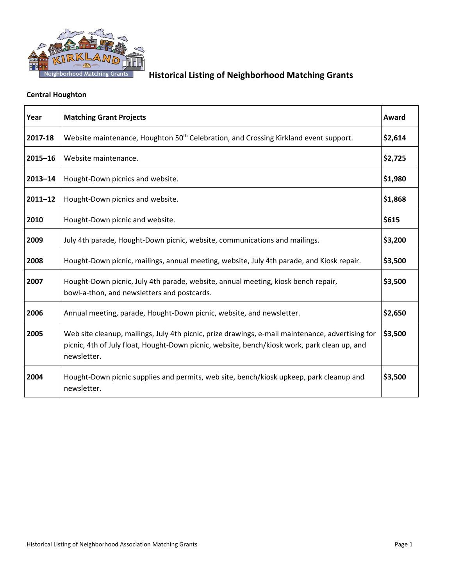

### **Central Houghton**

| Year        | <b>Matching Grant Projects</b>                                                                                                                                                                                  | Award   |
|-------------|-----------------------------------------------------------------------------------------------------------------------------------------------------------------------------------------------------------------|---------|
| 2017-18     | Website maintenance, Houghton 50 <sup>th</sup> Celebration, and Crossing Kirkland event support.                                                                                                                | \$2,614 |
| $2015 - 16$ | Website maintenance.                                                                                                                                                                                            | \$2,725 |
| $2013 - 14$ | Hought-Down picnics and website.                                                                                                                                                                                | \$1,980 |
| $2011 - 12$ | Hought-Down picnics and website.                                                                                                                                                                                | \$1,868 |
| 2010        | Hought-Down picnic and website.                                                                                                                                                                                 | \$615   |
| 2009        | July 4th parade, Hought-Down picnic, website, communications and mailings.                                                                                                                                      | \$3,200 |
| 2008        | Hought-Down picnic, mailings, annual meeting, website, July 4th parade, and Kiosk repair.                                                                                                                       | \$3,500 |
| 2007        | Hought-Down picnic, July 4th parade, website, annual meeting, kiosk bench repair,<br>bowl-a-thon, and newsletters and postcards.                                                                                | \$3,500 |
| 2006        | Annual meeting, parade, Hought-Down picnic, website, and newsletter.                                                                                                                                            | \$2,650 |
| 2005        | Web site cleanup, mailings, July 4th picnic, prize drawings, e-mail maintenance, advertising for<br>picnic, 4th of July float, Hought-Down picnic, website, bench/kiosk work, park clean up, and<br>newsletter. | \$3,500 |
| 2004        | Hought-Down picnic supplies and permits, web site, bench/kiosk upkeep, park cleanup and<br>newsletter.                                                                                                          | \$3,500 |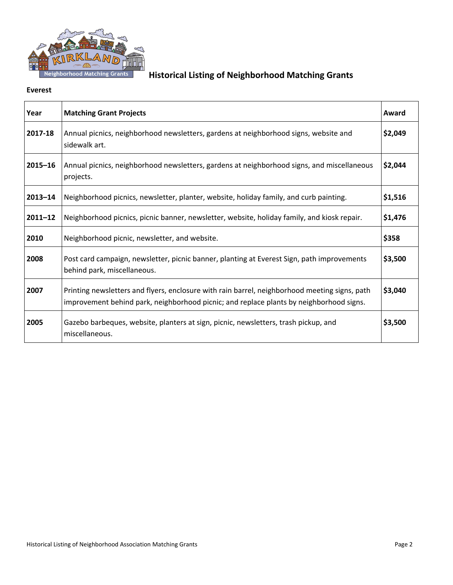

#### **Everest**

| Year        | <b>Matching Grant Projects</b>                                                                                                                                                           | Award   |
|-------------|------------------------------------------------------------------------------------------------------------------------------------------------------------------------------------------|---------|
| 2017-18     | Annual picnics, neighborhood newsletters, gardens at neighborhood signs, website and<br>sidewalk art.                                                                                    | \$2,049 |
| $2015 - 16$ | Annual picnics, neighborhood newsletters, gardens at neighborhood signs, and miscellaneous<br>projects.                                                                                  | \$2,044 |
| $2013 - 14$ | Neighborhood picnics, newsletter, planter, website, holiday family, and curb painting.                                                                                                   | \$1,516 |
| $2011 - 12$ | Neighborhood picnics, picnic banner, newsletter, website, holiday family, and kiosk repair.                                                                                              | \$1,476 |
| 2010        | Neighborhood picnic, newsletter, and website.                                                                                                                                            | \$358   |
| 2008        | Post card campaign, newsletter, picnic banner, planting at Everest Sign, path improvements<br>behind park, miscellaneous.                                                                | \$3,500 |
| 2007        | Printing newsletters and flyers, enclosure with rain barrel, neighborhood meeting signs, path<br>improvement behind park, neighborhood picnic; and replace plants by neighborhood signs. | \$3,040 |
| 2005        | Gazebo barbeques, website, planters at sign, picnic, newsletters, trash pickup, and<br>miscellaneous.                                                                                    | \$3,500 |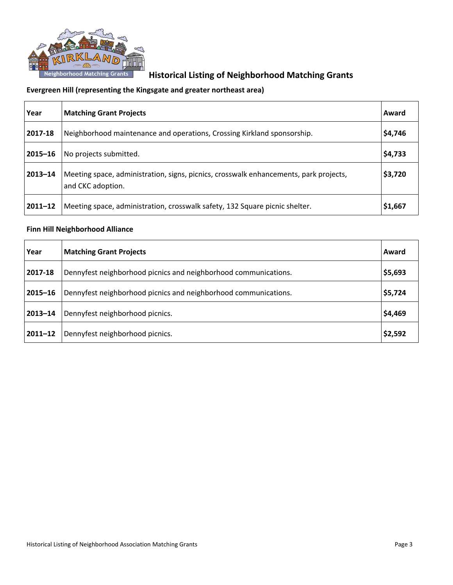

### **Evergreen Hill (representing the Kingsgate and greater northeast area)**

| Year        | <b>Matching Grant Projects</b>                                                                             | Award   |
|-------------|------------------------------------------------------------------------------------------------------------|---------|
| 2017-18     | Neighborhood maintenance and operations, Crossing Kirkland sponsorship.                                    | \$4,746 |
| 2015-16     | No projects submitted.                                                                                     | \$4,733 |
| $2013 - 14$ | Meeting space, administration, signs, picnics, crosswalk enhancements, park projects,<br>and CKC adoption. | \$3,720 |
| $2011 - 12$ | Meeting space, administration, crosswalk safety, 132 Square picnic shelter.                                | \$1,667 |

### **Finn Hill Neighborhood Alliance**

| Year        | <b>Matching Grant Projects</b>                                  | Award   |
|-------------|-----------------------------------------------------------------|---------|
| 2017-18     | Dennyfest neighborhood picnics and neighborhood communications. | \$5,693 |
| $2015 - 16$ | Dennyfest neighborhood picnics and neighborhood communications. | \$5,724 |
| 2013-14     | Dennyfest neighborhood picnics.                                 | \$4,469 |
| $2011 - 12$ | Dennyfest neighborhood picnics.                                 | \$2,592 |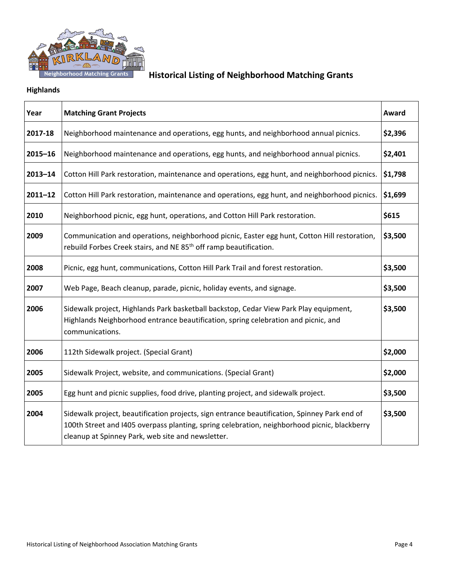

### **Highlands**

| Year        | <b>Matching Grant Projects</b>                                                                                                                                                                                                                    | Award   |
|-------------|---------------------------------------------------------------------------------------------------------------------------------------------------------------------------------------------------------------------------------------------------|---------|
| 2017-18     | Neighborhood maintenance and operations, egg hunts, and neighborhood annual picnics.                                                                                                                                                              | \$2,396 |
| $2015 - 16$ | Neighborhood maintenance and operations, egg hunts, and neighborhood annual picnics.                                                                                                                                                              | \$2,401 |
| $2013 - 14$ | Cotton Hill Park restoration, maintenance and operations, egg hunt, and neighborhood picnics.                                                                                                                                                     | \$1,798 |
| $2011 - 12$ | Cotton Hill Park restoration, maintenance and operations, egg hunt, and neighborhood picnics.                                                                                                                                                     | \$1,699 |
| 2010        | Neighborhood picnic, egg hunt, operations, and Cotton Hill Park restoration.                                                                                                                                                                      | \$615   |
| 2009        | Communication and operations, neighborhood picnic, Easter egg hunt, Cotton Hill restoration,<br>rebuild Forbes Creek stairs, and NE 85 <sup>th</sup> off ramp beautification.                                                                     | \$3,500 |
| 2008        | Picnic, egg hunt, communications, Cotton Hill Park Trail and forest restoration.                                                                                                                                                                  | \$3,500 |
| 2007        | Web Page, Beach cleanup, parade, picnic, holiday events, and signage.                                                                                                                                                                             | \$3,500 |
| 2006        | Sidewalk project, Highlands Park basketball backstop, Cedar View Park Play equipment,<br>Highlands Neighborhood entrance beautification, spring celebration and picnic, and<br>communications.                                                    | \$3,500 |
| 2006        | 112th Sidewalk project. (Special Grant)                                                                                                                                                                                                           | \$2,000 |
| 2005        | Sidewalk Project, website, and communications. (Special Grant)                                                                                                                                                                                    | \$2,000 |
| 2005        | Egg hunt and picnic supplies, food drive, planting project, and sidewalk project.                                                                                                                                                                 | \$3,500 |
| 2004        | Sidewalk project, beautification projects, sign entrance beautification, Spinney Park end of<br>100th Street and I405 overpass planting, spring celebration, neighborhood picnic, blackberry<br>cleanup at Spinney Park, web site and newsletter. | \$3,500 |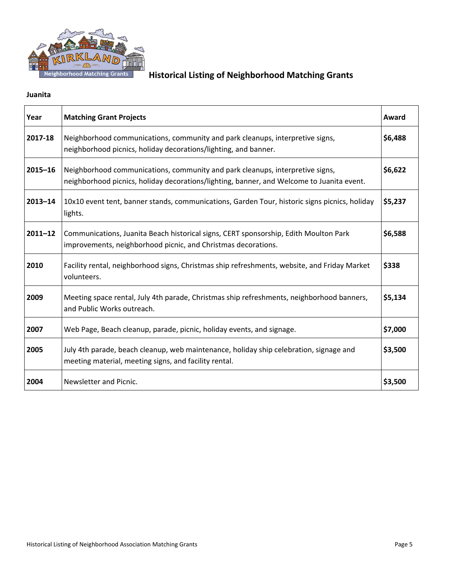

### **Juanita**

| Year        | <b>Matching Grant Projects</b>                                                                                                                                             | Award   |
|-------------|----------------------------------------------------------------------------------------------------------------------------------------------------------------------------|---------|
| 2017-18     | Neighborhood communications, community and park cleanups, interpretive signs,<br>neighborhood picnics, holiday decorations/lighting, and banner.                           | \$6,488 |
| $2015 - 16$ | Neighborhood communications, community and park cleanups, interpretive signs,<br>neighborhood picnics, holiday decorations/lighting, banner, and Welcome to Juanita event. | \$6,622 |
| $2013 - 14$ | 10x10 event tent, banner stands, communications, Garden Tour, historic signs picnics, holiday<br>lights.                                                                   | \$5,237 |
| $2011 - 12$ | Communications, Juanita Beach historical signs, CERT sponsorship, Edith Moulton Park<br>improvements, neighborhood picnic, and Christmas decorations.                      | \$6,588 |
| 2010        | Facility rental, neighborhood signs, Christmas ship refreshments, website, and Friday Market<br>volunteers.                                                                | \$338   |
| 2009        | Meeting space rental, July 4th parade, Christmas ship refreshments, neighborhood banners,<br>and Public Works outreach.                                                    | \$5,134 |
| 2007        | Web Page, Beach cleanup, parade, picnic, holiday events, and signage.                                                                                                      | \$7,000 |
| 2005        | July 4th parade, beach cleanup, web maintenance, holiday ship celebration, signage and<br>meeting material, meeting signs, and facility rental.                            | \$3,500 |
| 2004        | Newsletter and Picnic.                                                                                                                                                     | \$3,500 |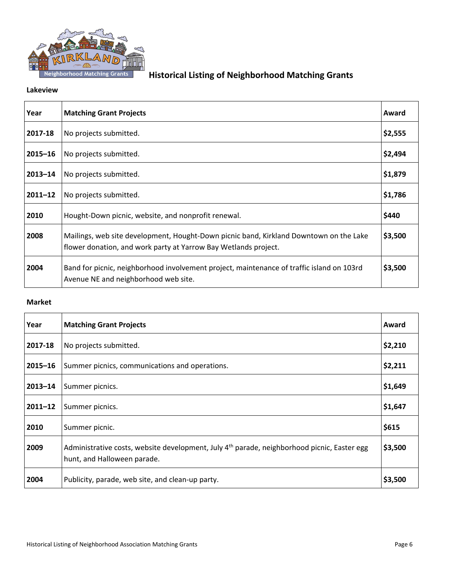

#### **Lakeview**

| Year        | <b>Matching Grant Projects</b>                                                                                                                            | Award   |
|-------------|-----------------------------------------------------------------------------------------------------------------------------------------------------------|---------|
| 2017-18     | No projects submitted.                                                                                                                                    | \$2,555 |
| $2015 - 16$ | No projects submitted.                                                                                                                                    | \$2,494 |
| $2013 - 14$ | No projects submitted.                                                                                                                                    | \$1,879 |
| $2011 - 12$ | No projects submitted.                                                                                                                                    | \$1,786 |
| 2010        | Hought-Down picnic, website, and nonprofit renewal.                                                                                                       | \$440   |
| 2008        | Mailings, web site development, Hought-Down picnic band, Kirkland Downtown on the Lake<br>flower donation, and work party at Yarrow Bay Wetlands project. | \$3,500 |
| 2004        | Band for picnic, neighborhood involvement project, maintenance of traffic island on 103rd<br>Avenue NE and neighborhood web site.                         | \$3,500 |

#### **Market**

| Year        | <b>Matching Grant Projects</b>                                                                                                  | Award   |
|-------------|---------------------------------------------------------------------------------------------------------------------------------|---------|
| 2017-18     | No projects submitted.                                                                                                          | \$2,210 |
| $2015 - 16$ | Summer picnics, communications and operations.                                                                                  | \$2,211 |
| $2013 - 14$ | Summer picnics.                                                                                                                 | \$1,649 |
| $2011 - 12$ | Summer picnics.                                                                                                                 | \$1,647 |
| 2010        | Summer picnic.                                                                                                                  | \$615   |
| 2009        | Administrative costs, website development, July $4^{th}$ parade, neighborhood picnic, Easter egg<br>hunt, and Halloween parade. | \$3,500 |
| 2004        | Publicity, parade, web site, and clean-up party.                                                                                | \$3,500 |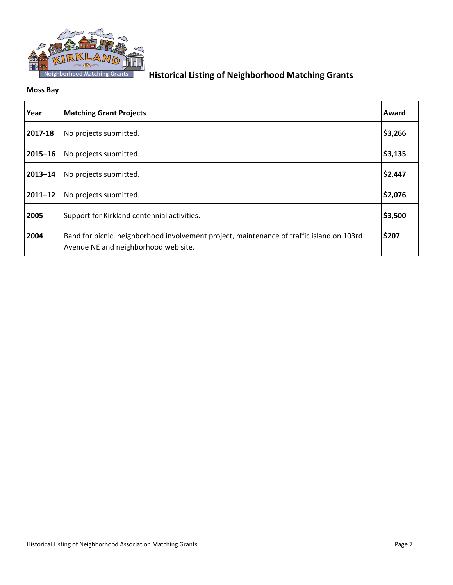

#### **Moss Bay**

| Year        | <b>Matching Grant Projects</b>                                                                                                    | Award   |
|-------------|-----------------------------------------------------------------------------------------------------------------------------------|---------|
| 2017-18     | No projects submitted.                                                                                                            | \$3,266 |
| $2015 - 16$ | No projects submitted.                                                                                                            | \$3,135 |
| $2013 - 14$ | No projects submitted.                                                                                                            | \$2,447 |
| $2011 - 12$ | No projects submitted.                                                                                                            | \$2,076 |
| 2005        | Support for Kirkland centennial activities.                                                                                       | \$3,500 |
| 2004        | Band for picnic, neighborhood involvement project, maintenance of traffic island on 103rd<br>Avenue NE and neighborhood web site. | \$207   |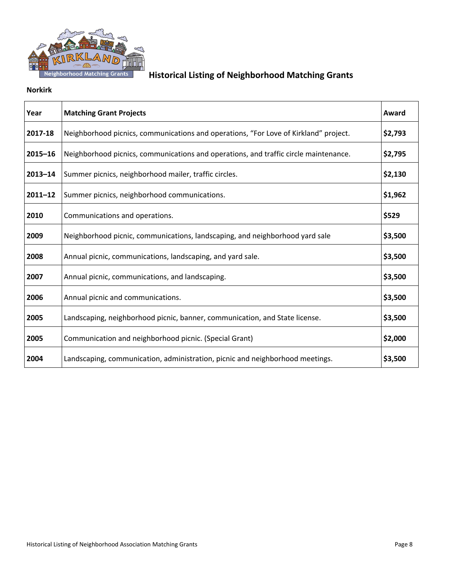

#### **Norkirk**

| Year        | <b>Matching Grant Projects</b>                                                       | Award   |
|-------------|--------------------------------------------------------------------------------------|---------|
| 2017-18     | Neighborhood picnics, communications and operations, "For Love of Kirkland" project. | \$2,793 |
| $2015 - 16$ | Neighborhood picnics, communications and operations, and traffic circle maintenance. | \$2,795 |
| $2013 - 14$ | Summer picnics, neighborhood mailer, traffic circles.                                | \$2,130 |
| $2011 - 12$ | Summer picnics, neighborhood communications.                                         | \$1,962 |
| 2010        | Communications and operations.                                                       | \$529   |
| 2009        | Neighborhood picnic, communications, landscaping, and neighborhood yard sale         | \$3,500 |
| 2008        | Annual picnic, communications, landscaping, and yard sale.                           | \$3,500 |
| 2007        | Annual picnic, communications, and landscaping.                                      | \$3,500 |
| 2006        | Annual picnic and communications.                                                    | \$3,500 |
| 2005        | Landscaping, neighborhood picnic, banner, communication, and State license.          | \$3,500 |
| 2005        | Communication and neighborhood picnic. (Special Grant)                               | \$2,000 |
| 2004        | Landscaping, communication, administration, picnic and neighborhood meetings.        | \$3,500 |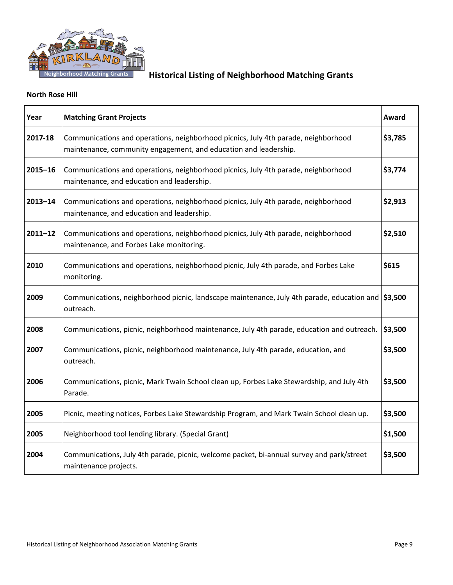

#### **North Rose Hill**

| Year        | <b>Matching Grant Projects</b>                                                                                                                         | Award   |
|-------------|--------------------------------------------------------------------------------------------------------------------------------------------------------|---------|
| 2017-18     | Communications and operations, neighborhood picnics, July 4th parade, neighborhood<br>maintenance, community engagement, and education and leadership. | \$3,785 |
| $2015 - 16$ | Communications and operations, neighborhood picnics, July 4th parade, neighborhood<br>maintenance, and education and leadership.                       | \$3,774 |
| $2013 - 14$ | Communications and operations, neighborhood picnics, July 4th parade, neighborhood<br>maintenance, and education and leadership.                       | \$2,913 |
| $2011 - 12$ | Communications and operations, neighborhood picnics, July 4th parade, neighborhood<br>maintenance, and Forbes Lake monitoring.                         | \$2,510 |
| 2010        | Communications and operations, neighborhood picnic, July 4th parade, and Forbes Lake<br>monitoring.                                                    | \$615   |
| 2009        | Communications, neighborhood picnic, landscape maintenance, July 4th parade, education and \\$3,500<br>outreach.                                       |         |
| 2008        | Communications, picnic, neighborhood maintenance, July 4th parade, education and outreach.                                                             | \$3,500 |
| 2007        | Communications, picnic, neighborhood maintenance, July 4th parade, education, and<br>outreach.                                                         | \$3,500 |
| 2006        | Communications, picnic, Mark Twain School clean up, Forbes Lake Stewardship, and July 4th<br>Parade.                                                   | \$3,500 |
| 2005        | Picnic, meeting notices, Forbes Lake Stewardship Program, and Mark Twain School clean up.                                                              | \$3,500 |
| 2005        | Neighborhood tool lending library. (Special Grant)                                                                                                     | \$1,500 |
| 2004        | Communications, July 4th parade, picnic, welcome packet, bi-annual survey and park/street<br>maintenance projects.                                     | \$3,500 |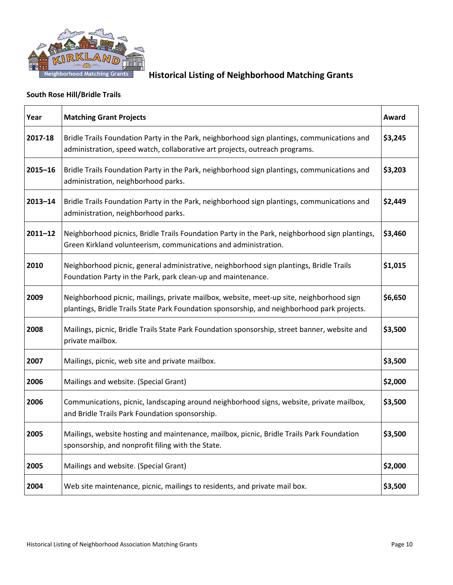

### **South Rose Hill/Bridle Trails**

| Year        | <b>Matching Grant Projects</b>                                                                                                                                                          | Award   |
|-------------|-----------------------------------------------------------------------------------------------------------------------------------------------------------------------------------------|---------|
| 2017-18     | Bridle Trails Foundation Party in the Park, neighborhood sign plantings, communications and<br>administration, speed watch, collaborative art projects, outreach programs.              | \$3,245 |
| $2015 - 16$ | Bridle Trails Foundation Party in the Park, neighborhood sign plantings, communications and<br>administration, neighborhood parks.                                                      | \$3,203 |
| $2013 - 14$ | Bridle Trails Foundation Party in the Park, neighborhood sign plantings, communications and<br>administration, neighborhood parks.                                                      | \$2,449 |
| $2011 - 12$ | Neighborhood picnics, Bridle Trails Foundation Party in the Park, neighborhood sign plantings,<br>Green Kirkland volunteerism, communications and administration.                       | \$3,460 |
| 2010        | Neighborhood picnic, general administrative, neighborhood sign plantings, Bridle Trails<br>Foundation Party in the Park, park clean-up and maintenance.                                 | \$1,015 |
| 2009        | Neighborhood picnic, mailings, private mailbox, website, meet-up site, neighborhood sign<br>plantings, Bridle Trails State Park Foundation sponsorship, and neighborhood park projects. | \$6,650 |
| 2008        | Mailings, picnic, Bridle Trails State Park Foundation sponsorship, street banner, website and<br>private mailbox.                                                                       | \$3,500 |
| 2007        | Mailings, picnic, web site and private mailbox.                                                                                                                                         | \$3,500 |
| 2006        | Mailings and website. (Special Grant)                                                                                                                                                   | \$2,000 |
| 2006        | Communications, picnic, landscaping around neighborhood signs, website, private mailbox,<br>and Bridle Trails Park Foundation sponsorship.                                              | \$3,500 |
| 2005        | Mailings, website hosting and maintenance, mailbox, picnic, Bridle Trails Park Foundation<br>sponsorship, and nonprofit filing with the State.                                          | \$3,500 |
| 2005        | Mailings and website. (Special Grant)                                                                                                                                                   | \$2,000 |
| 2004        | Web site maintenance, picnic, mailings to residents, and private mail box.                                                                                                              | \$3,500 |